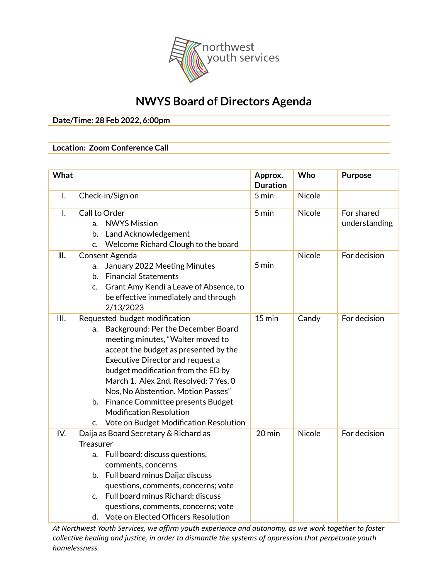

## **NWYS Board of Directors Agenda**

**Date/Time: 28 Feb 2022, 6:00pm**

## **Location: Zoom Conference Call**

| What |                                                                                                                                                                                                                                                                                                                                                                                                                                            | Approx.<br><b>Duration</b> | Who           | <b>Purpose</b>              |
|------|--------------------------------------------------------------------------------------------------------------------------------------------------------------------------------------------------------------------------------------------------------------------------------------------------------------------------------------------------------------------------------------------------------------------------------------------|----------------------------|---------------|-----------------------------|
| I.   | Check-in/Sign on                                                                                                                                                                                                                                                                                                                                                                                                                           | 5 min                      | <b>Nicole</b> |                             |
| I.   | Call to Order<br><b>NWYS Mission</b><br>a.<br>Land Acknowledgement<br>b.<br>Welcome Richard Clough to the board<br>C.                                                                                                                                                                                                                                                                                                                      | 5 min                      | <b>Nicole</b> | For shared<br>understanding |
| П.   | Consent Agenda<br>January 2022 Meeting Minutes<br>a.<br><b>Financial Statements</b><br>b.<br>Grant Amy Kendi a Leave of Absence, to<br>C.<br>be effective immediately and through<br>2/13/2023                                                                                                                                                                                                                                             | 5 min                      | <b>Nicole</b> | For decision                |
| III. | Requested budget modification<br>Background: Per the December Board<br>a.<br>meeting minutes, "Walter moved to<br>accept the budget as presented by the<br>Executive Director and request a<br>budget modification from the ED by<br>March 1. Alex 2nd. Resolved: 7 Yes, 0<br>Nos, No Abstention. Motion Passes"<br>b. Finance Committee presents Budget<br><b>Modification Resolution</b><br>Vote on Budget Modification Resolution<br>C. | $15 \text{ min}$           | Candy         | For decision                |
| IV.  | Daija as Board Secretary & Richard as<br><b>Treasurer</b><br>a. Full board: discuss questions,<br>comments, concerns<br>b. Full board minus Daija: discuss<br>questions, comments, concerns; vote<br>c. Full board minus Richard: discuss<br>questions, comments, concerns; vote<br>d. Vote on Elected Officers Resolution                                                                                                                 | 20 min                     | Nicole        | For decision                |

*At Northwest Youth Services, we affirm youth experience and autonomy, as we work together to foster collective healing and justice, in order to dismantle the systems of oppression that perpetuate youth homelessness.*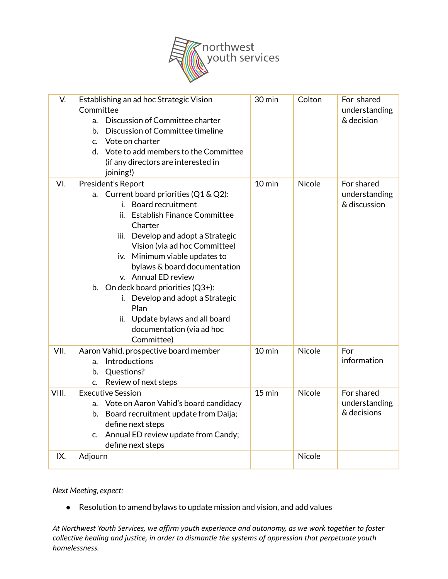

| V.    | Establishing an ad hoc Strategic Vision<br>Committee<br>a. Discussion of Committee charter<br>b. Discussion of Committee timeline<br>c. Vote on charter<br>d. Vote to add members to the Committee<br>(if any directors are interested in<br>joining!)                                                                                                                                                                                                                         | 30 min           | Colton        | For shared<br>understanding<br>& decision   |
|-------|--------------------------------------------------------------------------------------------------------------------------------------------------------------------------------------------------------------------------------------------------------------------------------------------------------------------------------------------------------------------------------------------------------------------------------------------------------------------------------|------------------|---------------|---------------------------------------------|
| VI.   | President's Report<br>a. Current board priorities (Q1 & Q2):<br>i. Board recruitment<br><b>Establish Finance Committee</b><br>ii.<br>Charter<br>iii. Develop and adopt a Strategic<br>Vision (via ad hoc Committee)<br>iv. Minimum viable updates to<br>bylaws & board documentation<br>v. Annual ED review<br>b. On deck board priorities $(Q3+)$ :<br>i. Develop and adopt a Strategic<br>Plan<br>ii. Update bylaws and all board<br>documentation (via ad hoc<br>Committee) | $10 \text{ min}$ | <b>Nicole</b> | For shared<br>understanding<br>& discussion |
| VII.  | Aaron Vahid, prospective board member<br>a. Introductions<br>b. Questions?<br>Review of next steps<br>c.                                                                                                                                                                                                                                                                                                                                                                       | $10$ min         | <b>Nicole</b> | For<br>information                          |
| VIII. | <b>Executive Session</b><br>a. Vote on Aaron Vahid's board candidacy<br>b. Board recruitment update from Daija;<br>define next steps<br>c. Annual ED review update from Candy;<br>define next steps                                                                                                                                                                                                                                                                            | $15$ min         | Nicole        | For shared<br>understanding<br>& decisions  |
| IX.   | Adjourn                                                                                                                                                                                                                                                                                                                                                                                                                                                                        |                  | Nicole        |                                             |

*Next Meeting, expect:*

● Resolution to amend bylaws to update mission and vision, and add values

*At Northwest Youth Services, we affirm youth experience and autonomy, as we work together to foster collective healing and justice, in order to dismantle the systems of oppression that perpetuate youth homelessness.*